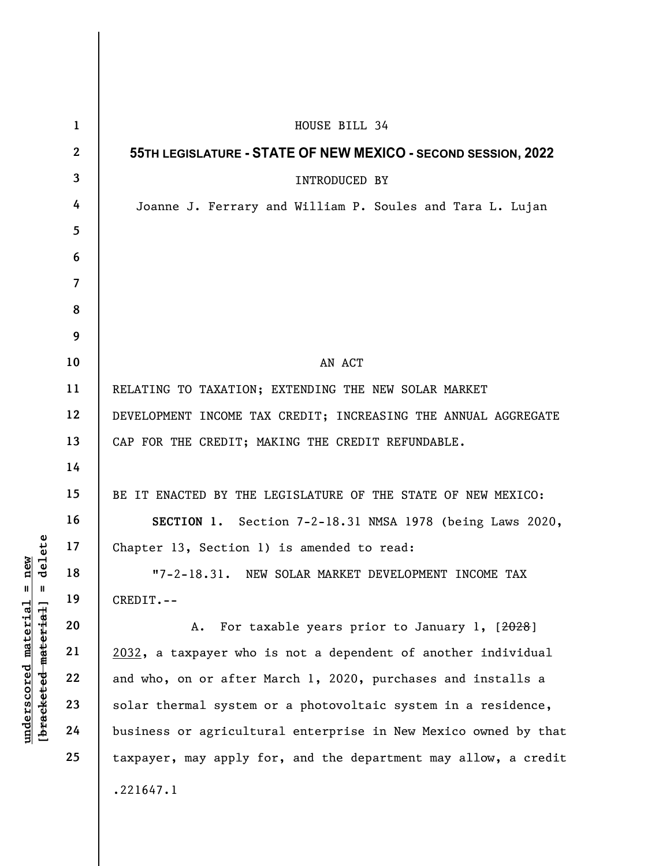|                                                                                   | $\mathbf{1}$    | HOUSE BILL 34                                                   |
|-----------------------------------------------------------------------------------|-----------------|-----------------------------------------------------------------|
|                                                                                   | $\mathbf{2}$    | 55TH LEGISLATURE - STATE OF NEW MEXICO - SECOND SESSION, 2022   |
|                                                                                   | $\mathbf{3}$    | INTRODUCED BY                                                   |
|                                                                                   | 4               | Joanne J. Ferrary and William P. Soules and Tara L. Lujan       |
|                                                                                   | $5\overline{)}$ |                                                                 |
|                                                                                   | 6               |                                                                 |
|                                                                                   | $\overline{7}$  |                                                                 |
|                                                                                   | 8               |                                                                 |
|                                                                                   | 9               |                                                                 |
|                                                                                   | 10              | AN ACT                                                          |
|                                                                                   | 11              | RELATING TO TAXATION; EXTENDING THE NEW SOLAR MARKET            |
| delete<br>new<br>$^{\mathsf{II}}$<br>Ш<br>[bracketed material]<br><u>material</u> | 12              | DEVELOPMENT INCOME TAX CREDIT; INCREASING THE ANNUAL AGGREGATE  |
|                                                                                   | 13              | CAP FOR THE CREDIT; MAKING THE CREDIT REFUNDABLE.               |
|                                                                                   | 14              |                                                                 |
|                                                                                   | 15              | BE IT ENACTED BY THE LEGISLATURE OF THE STATE OF NEW MEXICO:    |
|                                                                                   | 16              | SECTION 1. Section 7-2-18.31 NMSA 1978 (being Laws 2020,        |
|                                                                                   | 17              | Chapter 13, Section 1) is amended to read:                      |
|                                                                                   | 18              | "7-2-18.31. NEW SOLAR MARKET DEVELOPMENT INCOME TAX             |
|                                                                                   | 19              | CREDIT.--                                                       |
|                                                                                   | 20              | For taxable years prior to January 1, [2028]<br>Α.              |
|                                                                                   | 21              | 2032, a taxpayer who is not a dependent of another individual   |
|                                                                                   | 22              | and who, on or after March 1, 2020, purchases and installs a    |
| <u>underscored</u>                                                                | 23              | solar thermal system or a photovoltaic system in a residence,   |
|                                                                                   | 24              | business or agricultural enterprise in New Mexico owned by that |
|                                                                                   | 25              | taxpayer, may apply for, and the department may allow, a credit |
|                                                                                   |                 | .221647.1                                                       |
|                                                                                   |                 |                                                                 |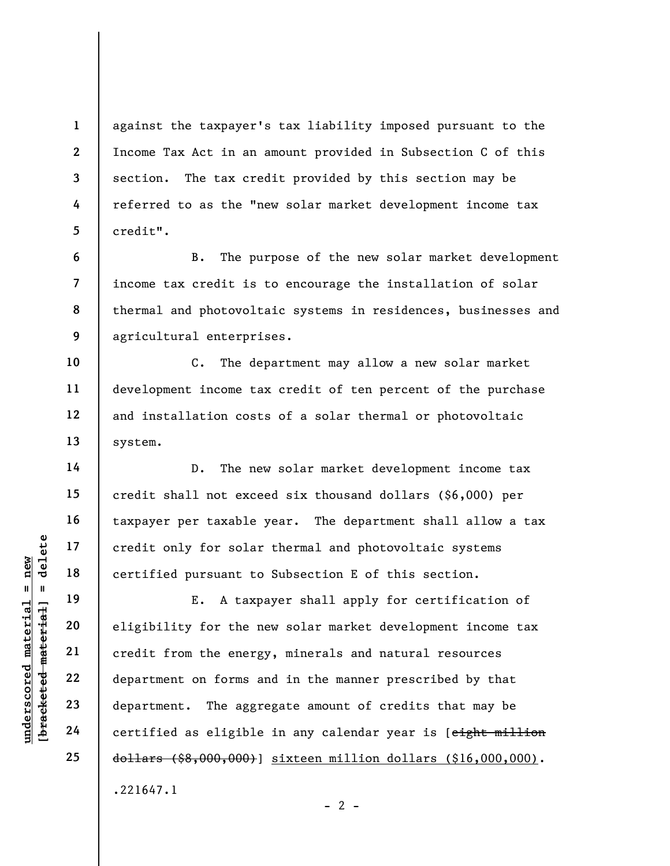against the taxpayer's tax liability imposed pursuant to the Income Tax Act in an amount provided in Subsection C of this section. The tax credit provided by this section may be referred to as the "new solar market development income tax credit".

8 9 B. The purpose of the new solar market development income tax credit is to encourage the installation of solar thermal and photovoltaic systems in residences, businesses and agricultural enterprises.

C. The department may allow a new solar market development income tax credit of ten percent of the purchase and installation costs of a solar thermal or photovoltaic system.

D. The new solar market development income tax credit shall not exceed six thousand dollars (\$6,000) per taxpayer per taxable year. The department shall allow a tax credit only for solar thermal and photovoltaic systems certified pursuant to Subsection E of this section.

under 17<br>
= 18<br>
= 18<br>
= 19<br>
= 19<br>
= 19<br>
= 19<br>
= 19<br>
= 19<br>
= 19<br>
= 19<br>
= 19<br>
= 19<br>
= 19<br>
= 19<br>
= 19<br>
= 19<br>
= 19<br>
= 19<br>
= 19<br>
= 19<br>
= 19<br>
= 19<br>
= 19<br>
= 19<br>
= 19<br>
= 19<br>
= 19<br>
= 19<br>
= 19<br>
= 19<br>
= 19<br>
= 19<br>
= 19<br>
= 19<br>
= 19<br>
= E. A taxpayer shall apply for certification of eligibility for the new solar market development income tax credit from the energy, minerals and natural resources department on forms and in the manner prescribed by that department. The aggregate amount of credits that may be certified as eligible in any calendar year is [eight million dollars (\$8,000,000)] sixteen million dollars (\$16,000,000). .221647.1

1

2

3

4

5

6

7

10

11

12

13

14

15

16

17

18

19

20

21

22

23

24

25

 $- 2 -$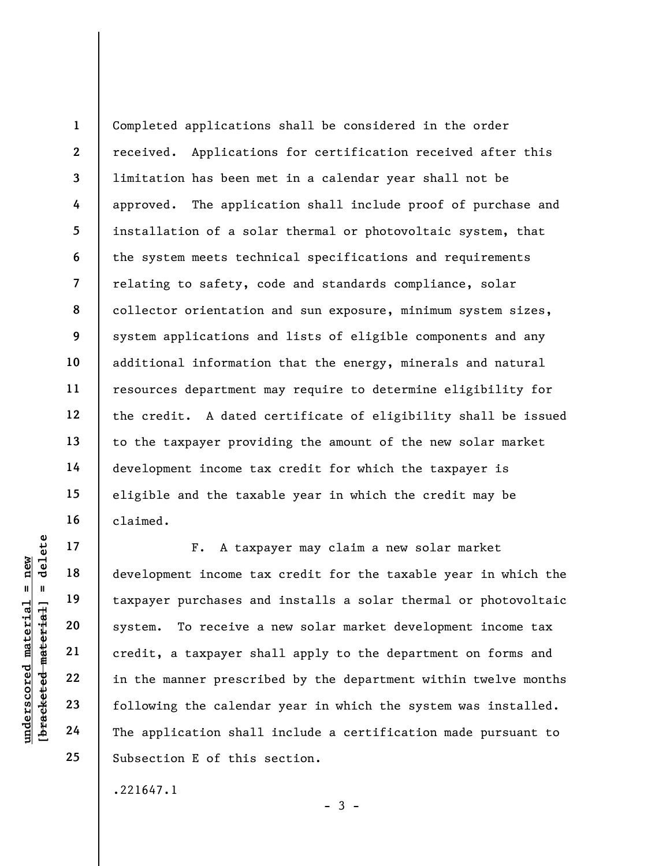1 2 3 4 5 6 7 8 9 10 11 12 13 14 15 16 Completed applications shall be considered in the order received. Applications for certification received after this limitation has been met in a calendar year shall not be approved. The application shall include proof of purchase and installation of a solar thermal or photovoltaic system, that the system meets technical specifications and requirements relating to safety, code and standards compliance, solar collector orientation and sun exposure, minimum system sizes, system applications and lists of eligible components and any additional information that the energy, minerals and natural resources department may require to determine eligibility for the credit. A dated certificate of eligibility shall be issued to the taxpayer providing the amount of the new solar market development income tax credit for which the taxpayer is eligible and the taxable year in which the credit may be claimed.

understand material material experience to the development income ta<br>
development income ta<br>
development income ta<br>
taxpayer purchases an<br>
system. To receive a<br>
credit, a taxpayer sh<br>
credit, a taxpayer sh<br>
in the manner p F. A taxpayer may claim a new solar market development income tax credit for the taxable year in which the taxpayer purchases and installs a solar thermal or photovoltaic system. To receive a new solar market development income tax credit, a taxpayer shall apply to the department on forms and in the manner prescribed by the department within twelve months following the calendar year in which the system was installed. The application shall include a certification made pursuant to Subsection E of this section.

.221647.1

17

18

19

20

21

22

23

24

25

 $-3 -$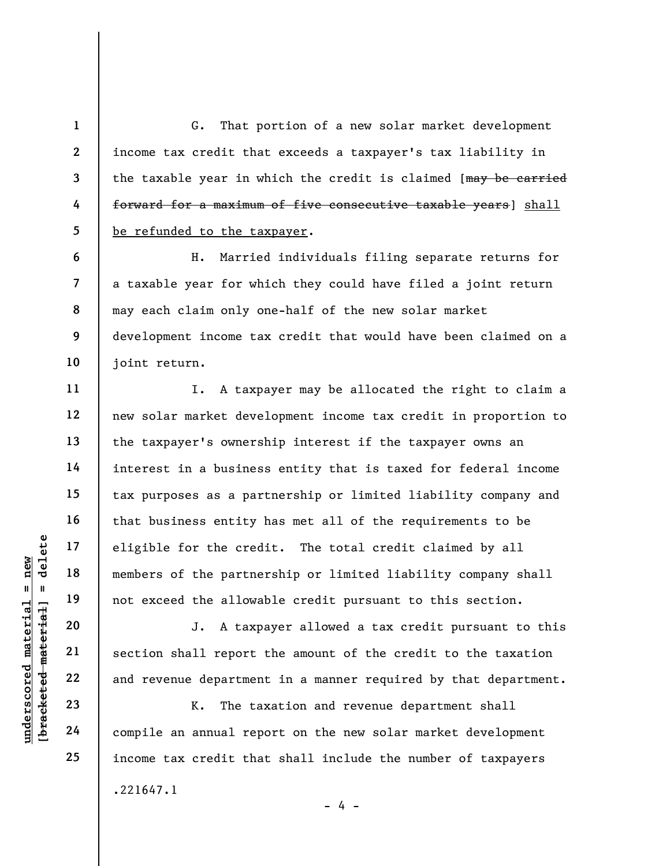G. That portion of a new solar market development income tax credit that exceeds a taxpayer's tax liability in the taxable year in which the credit is claimed [may be carried forward for a maximum of five consecutive taxable years] shall be refunded to the taxpayer.

H. Married individuals filing separate returns for a taxable year for which they could have filed a joint return may each claim only one-half of the new solar market development income tax credit that would have been claimed on a joint return.

underspote the cred<br>
members of the partne<br>
members of the partne<br>
not exceed the allowa<br>
20<br>
underspote the allowa<br>
21<br>
section shall report<br>
22<br>
and revenue departmen<br>
23<br>
24<br>
compile an annual rep<br>
24 I. A taxpayer may be allocated the right to claim a new solar market development income tax credit in proportion to the taxpayer's ownership interest if the taxpayer owns an interest in a business entity that is taxed for federal income tax purposes as a partnership or limited liability company and that business entity has met all of the requirements to be eligible for the credit. The total credit claimed by all members of the partnership or limited liability company shall not exceed the allowable credit pursuant to this section.

J. A taxpayer allowed a tax credit pursuant to this section shall report the amount of the credit to the taxation and revenue department in a manner required by that department.

K. The taxation and revenue department shall compile an annual report on the new solar market development income tax credit that shall include the number of taxpayers .221647.1  $- 4 -$ 

1

2

3

4

5

6

7

8

9

10

11

12

13

14

15

16

17

18

19

20

21

22

23

24

25